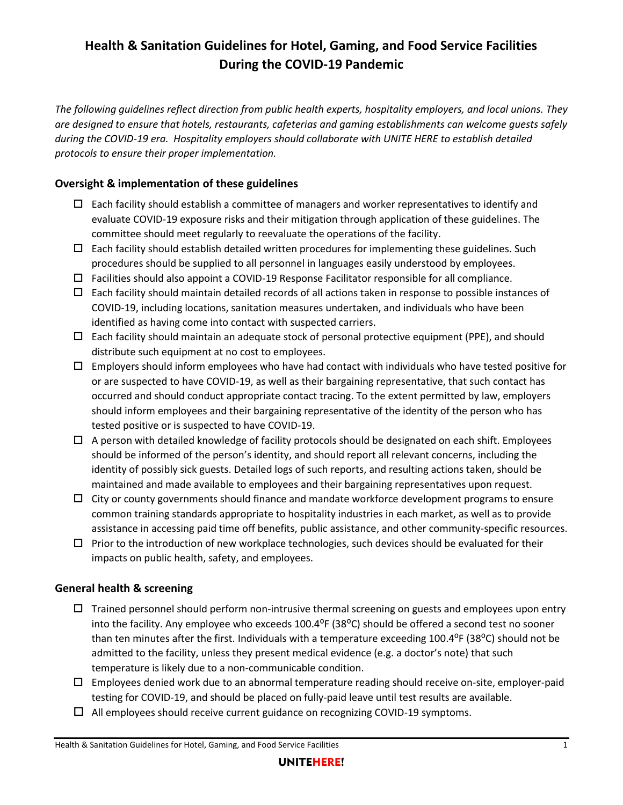# **Health & Sanitation Guidelines for Hotel, Gaming, and Food Service Facilities During the COVID-19 Pandemic**

*The following guidelines reflect direction from public health experts, hospitality employers, and local unions. They are designed to ensure that hotels, restaurants, cafeterias and gaming establishments can welcome guests safely during the COVID-19 era. Hospitality employers should collaborate with UNITE HERE to establish detailed protocols to ensure their proper implementation.*

### **Oversight & implementation of these guidelines**

- $\Box$  Each facility should establish a committee of managers and worker representatives to identify and evaluate COVID-19 exposure risks and their mitigation through application of these guidelines. The committee should meet regularly to reevaluate the operations of the facility.
- $\Box$  Each facility should establish detailed written procedures for implementing these guidelines. Such procedures should be supplied to all personnel in languages easily understood by employees.
- $\Box$  Facilities should also appoint a COVID-19 Response Facilitator responsible for all compliance.
- $\Box$  Each facility should maintain detailed records of all actions taken in response to possible instances of COVID-19, including locations, sanitation measures undertaken, and individuals who have been identified as having come into contact with suspected carriers.
- $\Box$  Each facility should maintain an adequate stock of personal protective equipment (PPE), and should distribute such equipment at no cost to employees.
- $\Box$  Employers should inform employees who have had contact with individuals who have tested positive for or are suspected to have COVID-19, as well as their bargaining representative, that such contact has occurred and should conduct appropriate contact tracing. To the extent permitted by law, employers should inform employees and their bargaining representative of the identity of the person who has tested positive or is suspected to have COVID-19.
- $\Box$  A person with detailed knowledge of facility protocols should be designated on each shift. Employees should be informed of the person's identity, and should report all relevant concerns, including the identity of possibly sick guests. Detailed logs of such reports, and resulting actions taken, should be maintained and made available to employees and their bargaining representatives upon request.
- $\Box$  City or county governments should finance and mandate workforce development programs to ensure common training standards appropriate to hospitality industries in each market, as well as to provide assistance in accessing paid time off benefits, public assistance, and other community-specific resources.
- $\Box$  Prior to the introduction of new workplace technologies, such devices should be evaluated for their impacts on public health, safety, and employees.

#### **General health & screening**

- $\Box$  Trained personnel should perform non-intrusive thermal screening on guests and employees upon entry into the facility. Any employee who exceeds  $100.4^{\circ}F(38^{\circ}C)$  should be offered a second test no sooner than ten minutes after the first. Individuals with a temperature exceeding  $100.4$ <sup>o</sup>F (38<sup>o</sup>C) should not be admitted to the facility, unless they present medical evidence (e.g. a doctor's note) that such temperature is likely due to a non-communicable condition.
- $\Box$  Employees denied work due to an abnormal temperature reading should receive on-site, employer-paid testing for COVID-19, and should be placed on fully-paid leave until test results are available.
- $\Box$  All employees should receive current guidance on recognizing COVID-19 symptoms.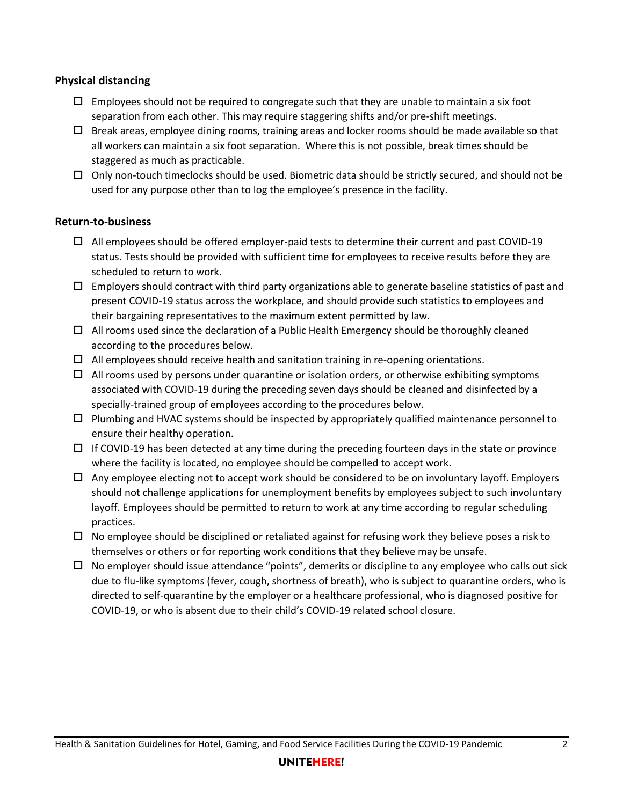#### **Physical distancing**

- $\Box$  Employees should not be required to congregate such that they are unable to maintain a six foot separation from each other. This may require staggering shifts and/or pre-shift meetings.
- $\Box$  Break areas, employee dining rooms, training areas and locker rooms should be made available so that all workers can maintain a six foot separation. Where this is not possible, break times should be staggered as much as practicable.
- $\Box$  Only non-touch timeclocks should be used. Biometric data should be strictly secured, and should not be used for any purpose other than to log the employee's presence in the facility.

#### **Return-to-business**

- $\Box$  All employees should be offered employer-paid tests to determine their current and past COVID-19 status. Tests should be provided with sufficient time for employees to receive results before they are scheduled to return to work.
- $\Box$  Employers should contract with third party organizations able to generate baseline statistics of past and present COVID-19 status across the workplace, and should provide such statistics to employees and their bargaining representatives to the maximum extent permitted by law.
- $\Box$  All rooms used since the declaration of a Public Health Emergency should be thoroughly cleaned according to the procedures below.
- $\Box$  All employees should receive health and sanitation training in re-opening orientations.
- $\Box$  All rooms used by persons under quarantine or isolation orders, or otherwise exhibiting symptoms associated with COVID-19 during the preceding seven days should be cleaned and disinfected by a specially-trained group of employees according to the procedures below.
- $\Box$  Plumbing and HVAC systems should be inspected by appropriately qualified maintenance personnel to ensure their healthy operation.
- $\Box$  If COVID-19 has been detected at any time during the preceding fourteen days in the state or province where the facility is located, no employee should be compelled to accept work.
- $\Box$  Any employee electing not to accept work should be considered to be on involuntary layoff. Employers should not challenge applications for unemployment benefits by employees subject to such involuntary layoff. Employees should be permitted to return to work at any time according to regular scheduling practices.
- $\Box$  No employee should be disciplined or retaliated against for refusing work they believe poses a risk to themselves or others or for reporting work conditions that they believe may be unsafe.
- $\Box$  No employer should issue attendance "points", demerits or discipline to any employee who calls out sick due to flu-like symptoms (fever, cough, shortness of breath), who is subject to quarantine orders, who is directed to self-quarantine by the employer or a healthcare professional, who is diagnosed positive for COVID-19, or who is absent due to their child's COVID-19 related school closure.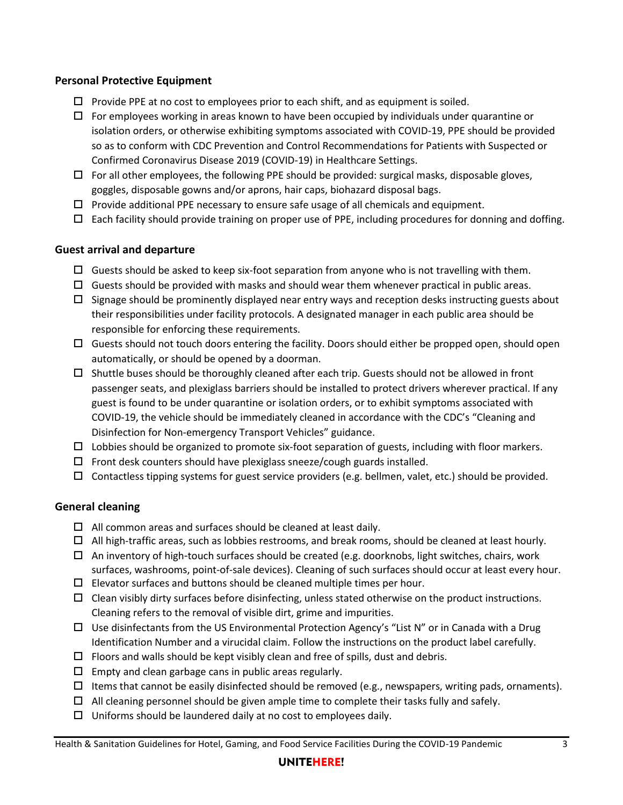#### **Personal Protective Equipment**

- $\Box$  Provide PPE at no cost to employees prior to each shift, and as equipment is soiled.
- $\Box$  For employees working in areas known to have been occupied by individuals under quarantine or isolation orders, or otherwise exhibiting symptoms associated with COVID-19, PPE should be provided so as to conform with CDC Prevention and Control Recommendations for Patients with Suspected or Confirmed Coronavirus Disease 2019 (COVID-19) in Healthcare Settings.
- $\Box$  For all other employees, the following PPE should be provided: surgical masks, disposable gloves, goggles, disposable gowns and/or aprons, hair caps, biohazard disposal bags.
- $\square$  Provide additional PPE necessary to ensure safe usage of all chemicals and equipment.
- $\Box$  Each facility should provide training on proper use of PPE, including procedures for donning and doffing.

#### **Guest arrival and departure**

- $\Box$  Guests should be asked to keep six-foot separation from anyone who is not travelling with them.
- $\Box$  Guests should be provided with masks and should wear them whenever practical in public areas.
- $\square$  Signage should be prominently displayed near entry ways and reception desks instructing guests about their responsibilities under facility protocols. A designated manager in each public area should be responsible for enforcing these requirements.
- $\Box$  Guests should not touch doors entering the facility. Doors should either be propped open, should open automatically, or should be opened by a doorman.
- $\Box$  Shuttle buses should be thoroughly cleaned after each trip. Guests should not be allowed in front passenger seats, and plexiglass barriers should be installed to protect drivers wherever practical. If any guest is found to be under quarantine or isolation orders, or to exhibit symptoms associated with COVID-19, the vehicle should be immediately cleaned in accordance with the CDC's "Cleaning and Disinfection for Non-emergency Transport Vehicles" guidance.
- $\Box$  Lobbies should be organized to promote six-foot separation of guests, including with floor markers.
- $\square$  Front desk counters should have plexiglass sneeze/cough guards installed.
- $\Box$  Contactless tipping systems for guest service providers (e.g. bellmen, valet, etc.) should be provided.

## **General cleaning**

- $\Box$  All common areas and surfaces should be cleaned at least daily.
- $\Box$  All high-traffic areas, such as lobbies restrooms, and break rooms, should be cleaned at least hourly.
- $\Box$  An inventory of high-touch surfaces should be created (e.g. doorknobs, light switches, chairs, work surfaces, washrooms, point-of-sale devices). Cleaning of such surfaces should occur at least every hour.
- $\square$  Elevator surfaces and buttons should be cleaned multiple times per hour.
- $\Box$  Clean visibly dirty surfaces before disinfecting, unless stated otherwise on the product instructions. Cleaning refers to the removal of visible dirt, grime and impurities.
- $\Box$  Use disinfectants from the US Environmental Protection Agency's "List N" or in Canada with a Drug Identification Number and a virucidal claim. Follow the instructions on the product label carefully.
- $\Box$  Floors and walls should be kept visibly clean and free of spills, dust and debris.
- $\square$  Empty and clean garbage cans in public areas regularly.
- $\Box$  Items that cannot be easily disinfected should be removed (e.g., newspapers, writing pads, ornaments).
- $\Box$  All cleaning personnel should be given ample time to complete their tasks fully and safely.
- $\Box$  Uniforms should be laundered daily at no cost to employees daily.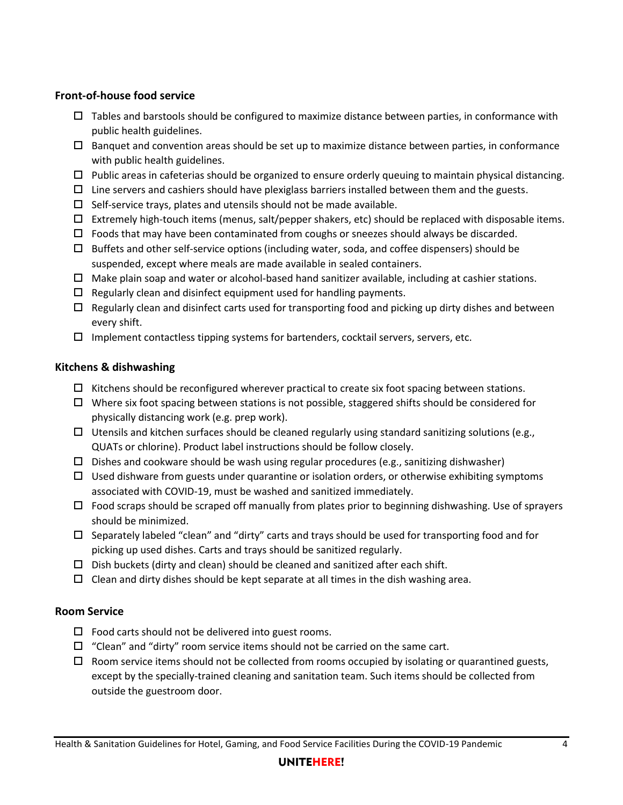### **Front-of-house food service**

- $\Box$  Tables and barstools should be configured to maximize distance between parties, in conformance with public health guidelines.
- $\Box$  Banquet and convention areas should be set up to maximize distance between parties, in conformance with public health guidelines.
- $\Box$  Public areas in cafeterias should be organized to ensure orderly queuing to maintain physical distancing.
- $\Box$  Line servers and cashiers should have plexiglass barriers installed between them and the guests.
- $\square$  Self-service trays, plates and utensils should not be made available.
- $\Box$  Extremely high-touch items (menus, salt/pepper shakers, etc) should be replaced with disposable items.
- $\Box$  Foods that may have been contaminated from coughs or sneezes should always be discarded.
- $\Box$  Buffets and other self-service options (including water, soda, and coffee dispensers) should be suspended, except where meals are made available in sealed containers.
- $\Box$  Make plain soap and water or alcohol-based hand sanitizer available, including at cashier stations.
- $\Box$  Regularly clean and disinfect equipment used for handling payments.
- $\Box$  Regularly clean and disinfect carts used for transporting food and picking up dirty dishes and between every shift.
- $\Box$  Implement contactless tipping systems for bartenders, cocktail servers, servers, etc.

#### **Kitchens & dishwashing**

- $\Box$  Kitchens should be reconfigured wherever practical to create six foot spacing between stations.
- $\Box$  Where six foot spacing between stations is not possible, staggered shifts should be considered for physically distancing work (e.g. prep work).
- $\Box$  Utensils and kitchen surfaces should be cleaned regularly using standard sanitizing solutions (e.g., QUATs or chlorine). Product label instructions should be follow closely.
- $\square$  Dishes and cookware should be wash using regular procedures (e.g., sanitizing dishwasher)
- $\Box$  Used dishware from guests under quarantine or isolation orders, or otherwise exhibiting symptoms associated with COVID-19, must be washed and sanitized immediately.
- $\Box$  Food scraps should be scraped off manually from plates prior to beginning dishwashing. Use of sprayers should be minimized.
- $\Box$  Separately labeled "clean" and "dirty" carts and trays should be used for transporting food and for picking up used dishes. Carts and trays should be sanitized regularly.
- $\square$  Dish buckets (dirty and clean) should be cleaned and sanitized after each shift.
- $\Box$  Clean and dirty dishes should be kept separate at all times in the dish washing area.

## **Room Service**

- $\square$  Food carts should not be delivered into guest rooms.
- $\Box$  "Clean" and "dirty" room service items should not be carried on the same cart.
- $\Box$  Room service items should not be collected from rooms occupied by isolating or quarantined guests, except by the specially-trained cleaning and sanitation team. Such items should be collected from outside the guestroom door.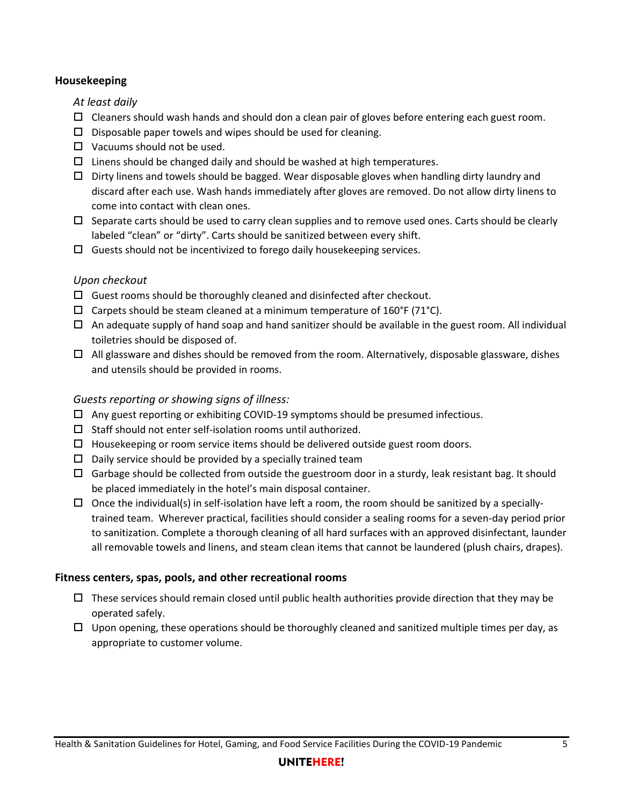#### **Housekeeping**

*At least daily*

- $\Box$  Cleaners should wash hands and should don a clean pair of gloves before entering each guest room.
- $\square$  Disposable paper towels and wipes should be used for cleaning.
- $\Box$  Vacuums should not be used.
- $\Box$  Linens should be changed daily and should be washed at high temperatures.
- $\Box$  Dirty linens and towels should be bagged. Wear disposable gloves when handling dirty laundry and discard after each use. Wash hands immediately after gloves are removed. Do not allow dirty linens to come into contact with clean ones.
- $\Box$  Separate carts should be used to carry clean supplies and to remove used ones. Carts should be clearly labeled "clean" or "dirty". Carts should be sanitized between every shift.
- $\Box$  Guests should not be incentivized to forego daily housekeeping services.

## *Upon checkout*

- $\Box$  Guest rooms should be thoroughly cleaned and disinfected after checkout.
- $\square$  Carpets should be steam cleaned at a minimum temperature of 160°F (71°C).
- $\Box$  An adequate supply of hand soap and hand sanitizer should be available in the guest room. All individual toiletries should be disposed of.
- $\Box$  All glassware and dishes should be removed from the room. Alternatively, disposable glassware, dishes and utensils should be provided in rooms.

# *Guests reporting or showing signs of illness:*

- $\Box$  Any guest reporting or exhibiting COVID-19 symptoms should be presumed infectious.
- $\square$  Staff should not enter self-isolation rooms until authorized.
- $\Box$  Housekeeping or room service items should be delivered outside guest room doors.
- $\square$  Daily service should be provided by a specially trained team
- $\Box$  Garbage should be collected from outside the guestroom door in a sturdy, leak resistant bag. It should be placed immediately in the hotel's main disposal container.
- $\Box$  Once the individual(s) in self-isolation have left a room, the room should be sanitized by a speciallytrained team. Wherever practical, facilities should consider a sealing rooms for a seven-day period prior to sanitization. Complete a thorough cleaning of all hard surfaces with an approved disinfectant, launder all removable towels and linens, and steam clean items that cannot be laundered (plush chairs, drapes).

# **Fitness centers, spas, pools, and other recreational rooms**

- $\Box$  These services should remain closed until public health authorities provide direction that they may be operated safely.
- $\Box$  Upon opening, these operations should be thoroughly cleaned and sanitized multiple times per day, as appropriate to customer volume.